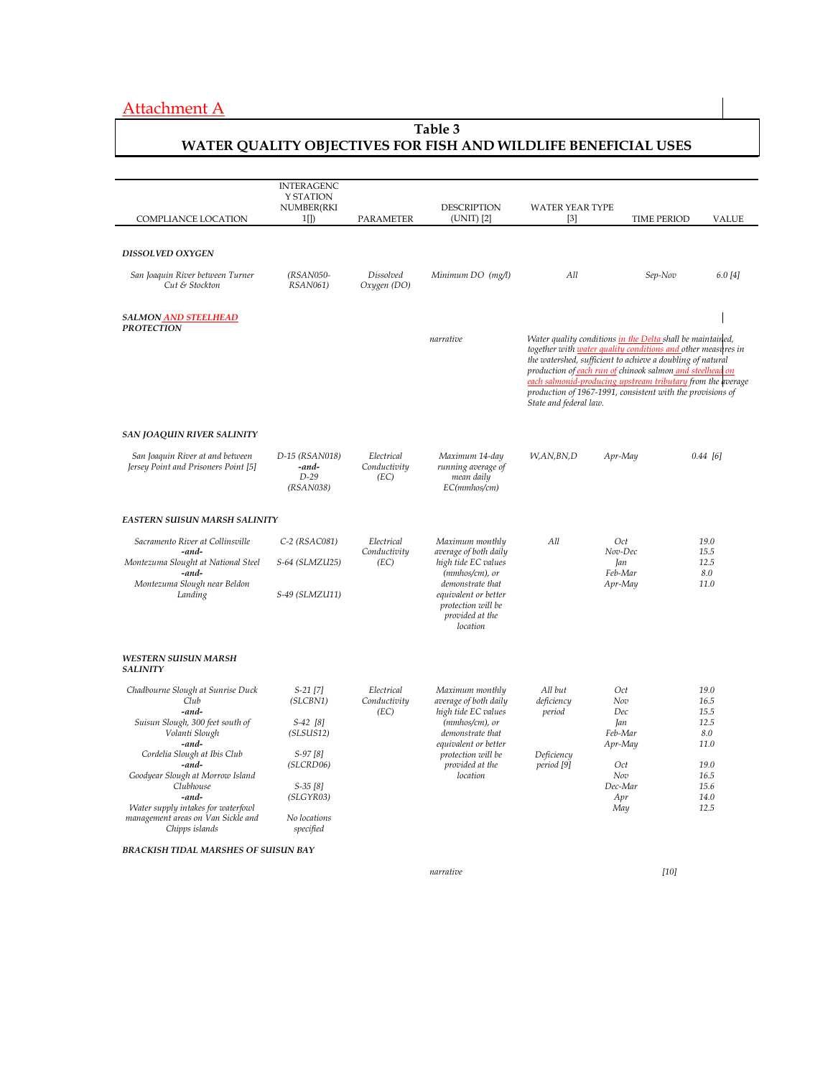# Attachment A

## **Table 3 WATER QUALITY OBJECTIVES FOR FISH AND WILDLIFE BENEFICIAL USES**

|                                                                                            | <b>INTERAGENC</b><br>Y STATION<br>NUMBER(RKI   |                                    | <b>DESCRIPTION</b>                                                                            | <b>WATER YEAR TYPE</b>                                                                                                                                                                                                                                                                                                      |                                                            |                      |  |
|--------------------------------------------------------------------------------------------|------------------------------------------------|------------------------------------|-----------------------------------------------------------------------------------------------|-----------------------------------------------------------------------------------------------------------------------------------------------------------------------------------------------------------------------------------------------------------------------------------------------------------------------------|------------------------------------------------------------|----------------------|--|
| COMPLIANCE LOCATION                                                                        | $1$ [])                                        | PARAMETER                          | (UNIT) [2]                                                                                    | $\lceil 3 \rceil$                                                                                                                                                                                                                                                                                                           | <b>TIME PERIOD</b>                                         | <b>VALUE</b>         |  |
| DISSOLVED OXYGEN                                                                           |                                                |                                    |                                                                                               |                                                                                                                                                                                                                                                                                                                             |                                                            |                      |  |
| San Joaquin River between Turner<br>Cut & Stockton                                         | (RSAN050-<br>RSAN061)                          | <b>Dissolved</b><br>Oxygen (DO)    | Minimum DO (mg/l)                                                                             | All                                                                                                                                                                                                                                                                                                                         | Sep-Nov                                                    | 6.0 [4]              |  |
| SALMON AND STEELHEAD<br><b>PROTECTION</b>                                                  |                                                |                                    |                                                                                               |                                                                                                                                                                                                                                                                                                                             |                                                            |                      |  |
|                                                                                            |                                                |                                    | narrative                                                                                     | Water quality conditions in the Delta shall be maintained,<br>together with <b>water quality conditions and</b> other measures in<br>the watershed, sufficient to achieve a doubling of natural<br>production of each run of chinook salmon and steelhead on<br>each salmonid-producing upstream tributary from the average |                                                            |                      |  |
|                                                                                            |                                                |                                    |                                                                                               | State and federal law.                                                                                                                                                                                                                                                                                                      | production of 1967-1991, consistent with the provisions of |                      |  |
| <b>SAN JOAQUIN RIVER SALINITY</b>                                                          |                                                |                                    |                                                                                               |                                                                                                                                                                                                                                                                                                                             |                                                            |                      |  |
| San Joaquin River at and between<br>Jersey Point and Prisoners Point [5]                   | D-15 (RSAN018)<br>-and-<br>$D-29$<br>(RSAN038) | Electrical<br>Conductivity<br>(EC) | Maximum 14-day<br>running average of<br>mean daily<br>EC(mmhos/cm)                            | W,AN,BN,D                                                                                                                                                                                                                                                                                                                   | Apr-May                                                    | $0.44$ [6]           |  |
| <b>EASTERN SUISUN MARSH SALINITY</b>                                                       |                                                |                                    |                                                                                               |                                                                                                                                                                                                                                                                                                                             |                                                            |                      |  |
| Sacramento River at Collinsville<br>-and-                                                  | $C-2$ (RSAC081)                                | Electrical<br>Conductivity         | Maximum monthly<br>average of both daily                                                      | All                                                                                                                                                                                                                                                                                                                         | Oct<br>Nov-Dec                                             | 19.0<br>15.5         |  |
| Montezuma Slought at National Steel<br>-and-                                               | S-64 (SLMZU25)                                 | (EC)                               | high tide EC values<br>$(mmbos/cm)$ , or                                                      |                                                                                                                                                                                                                                                                                                                             | Jan<br>Feb-Mar                                             | 12.5<br>8.0          |  |
| Montezuma Slough near Beldon<br>Landing                                                    | S-49 (SLMZU11)                                 |                                    | demonstrate that<br>equivalent or better<br>protection will be<br>provided at the<br>location |                                                                                                                                                                                                                                                                                                                             | Apr-May                                                    | 11.0                 |  |
| <b>WESTERN SUISUN MARSH</b><br><b>SALINITY</b>                                             |                                                |                                    |                                                                                               |                                                                                                                                                                                                                                                                                                                             |                                                            |                      |  |
| Chadbourne Slough at Sunrise Duck<br>Club<br>-and-                                         | $S-21$ [7]<br>(SLCBN1)                         | Electrical<br>Conductivity<br>(EC) | Maximum monthly<br>average of both daily<br>high tide EC values                               | All but<br>deficiency<br>period                                                                                                                                                                                                                                                                                             | Oct<br>Nov<br>Dec                                          | 19.0<br>16.5<br>15.5 |  |
| Suisun Slough, 300 feet south of<br>Volanti Slough<br>-and-                                | $S-42$ [8]<br>(SLSUS12)                        |                                    | (mmhos/cm), or<br>demonstrate that<br>equivalent or better                                    |                                                                                                                                                                                                                                                                                                                             | Jan<br>Feb-Mar<br>Apr-May                                  | 12.5<br>8.0<br>11.0  |  |
| Cordelia Slough at Ibis Club<br>-and-                                                      | $S-97[8]$<br>(SLCRD06)                         |                                    | protection will be<br>provided at the                                                         | Deficiency<br>period [9]                                                                                                                                                                                                                                                                                                    | Oct                                                        | 19.0                 |  |
| Goodyear Slough at Morrow Island<br>Clubhouse                                              | $S-35[8]$                                      |                                    | location                                                                                      |                                                                                                                                                                                                                                                                                                                             | Nov<br>Dec-Mar                                             | 16.5<br>15.6         |  |
| -and-                                                                                      | (SLGYR03)                                      |                                    |                                                                                               |                                                                                                                                                                                                                                                                                                                             | Apr                                                        | 14.0<br>12.5         |  |
| Water supply intakes for waterfowl<br>management areas on Van Sickle and<br>Chipps islands | No locations<br>specified                      |                                    |                                                                                               |                                                                                                                                                                                                                                                                                                                             | May                                                        |                      |  |

*narrative* [10]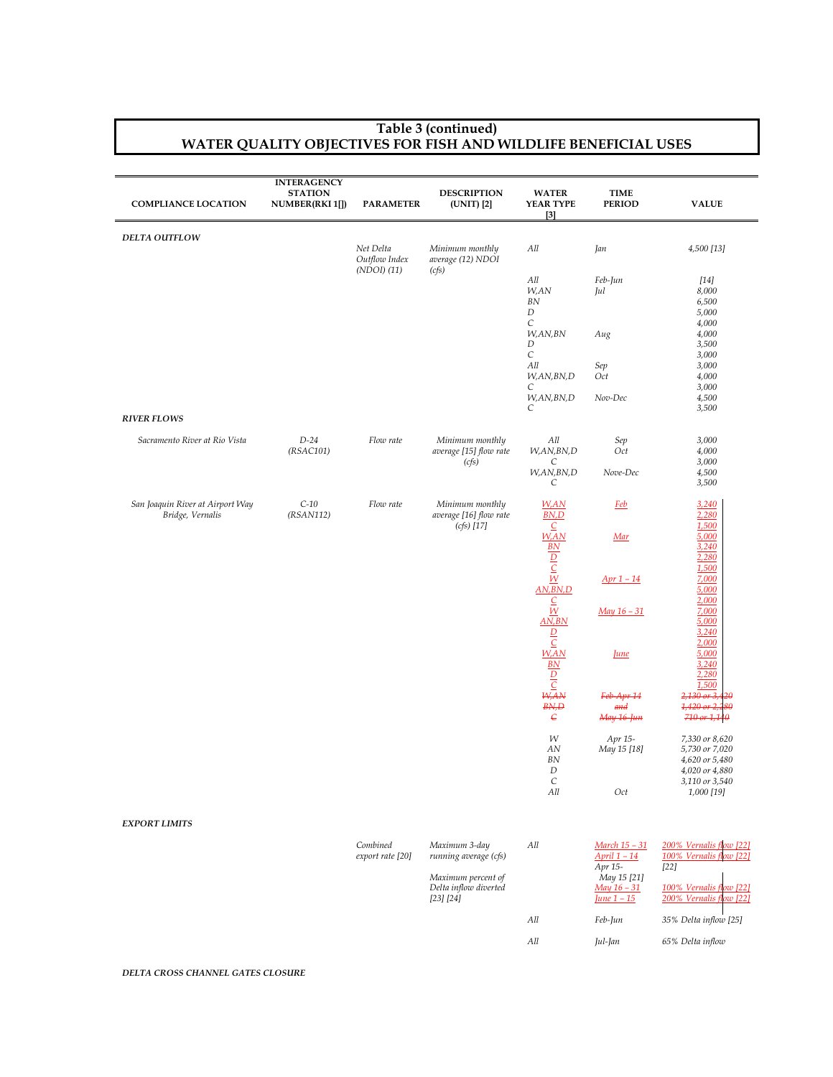#### **Table 3 (continued) WATER QUALITY OBJECTIVES FOR FISH AND WILDLIFE BENEFICIAL USES**

| <b>COMPLIANCE LOCATION</b>                           | <b>INTERAGENCY</b><br><b>STATION</b><br>NUMBER(RKI 1[]) | <b>PARAMETER</b>                          | <b>DESCRIPTION</b><br>(UNIT) [2]                          | <b>WATER</b><br>YEAR TYPE<br>[3]                                                 | <b>TIME</b><br><b>PERIOD</b>              | <b>VALUE</b>                                                              |
|------------------------------------------------------|---------------------------------------------------------|-------------------------------------------|-----------------------------------------------------------|----------------------------------------------------------------------------------|-------------------------------------------|---------------------------------------------------------------------------|
| DELTA OUTFLOW                                        |                                                         | Net Delta<br>Outflow Index<br>(NDOI) (11) | Minimum monthly<br>average (12) NDOI<br>(cfs)             | All                                                                              | Jan                                       | 4,500 [13]                                                                |
|                                                      |                                                         |                                           |                                                           | All<br>W,AN<br>$BN$<br>$\boldsymbol{D}$                                          | Feb-Jun<br>Jul                            | $[14]$<br>8,000<br>6,500<br>5,000                                         |
|                                                      |                                                         |                                           |                                                           | C<br>W,AN,BN<br>$\boldsymbol{D}$<br>$\cal C$                                     | Aug                                       | 4,000<br>4,000<br>3,500<br>3,000                                          |
|                                                      |                                                         |                                           |                                                           | All<br>W,AN,BN,D<br>C                                                            | Sep<br>Oct                                | 3,000<br>4,000<br>3,000                                                   |
| <b>RIVER FLOWS</b>                                   |                                                         |                                           |                                                           | W,AN,BN,D<br>C                                                                   | Nov-Dec                                   | 4,500<br>3,500                                                            |
| Sacramento River at Rio Vista                        | $D-24$<br>(RSAC101)                                     | Flow rate                                 | Minimum monthly<br>average [15] flow rate<br>(cfs)        | All<br>W,AN,BN,D<br>С                                                            | Sep<br>Oct                                | 3,000<br>4,000<br>3,000                                                   |
|                                                      |                                                         |                                           |                                                           | W,AN,BN,D<br>С                                                                   | Nove-Dec                                  | 4,500<br>3,500                                                            |
| San Joaquin River at Airport Way<br>Bridge, Vernalis | $C-10$<br>(RSAN112)                                     | Flow rate                                 | Minimum monthly<br>average [16] flow rate<br>$(cfs)$ [17] | W,AN<br>BN, D<br>$\subseteq$                                                     | <b>Feb</b>                                | 3,240<br>2,280<br>1,500                                                   |
|                                                      |                                                         |                                           |                                                           | $W$ , AN<br>$B_N$                                                                | Mar                                       | 5,000<br>3,240<br>2,280                                                   |
|                                                      |                                                         |                                           |                                                           | $\frac{D}{C}$<br>AN,BN,D                                                         | $Apr 1 - 14$                              | 1,500<br>7,000<br>5,000                                                   |
|                                                      |                                                         |                                           |                                                           | $\frac{C}{W}$<br>AN, BN                                                          | $May 16 - 31$                             | 2,000<br>7,000<br>5,000<br>3,240                                          |
|                                                      |                                                         |                                           |                                                           | $\frac{D}{C}$<br>W, AN<br>B <sub>N</sub><br>$\frac{\frac{1}{D}}{\frac{C}{W,AN}}$ | June                                      | 2,000<br>5,000<br>3,240<br>2,280                                          |
|                                                      |                                                         |                                           |                                                           | BN, D<br>$\epsilon$                                                              | Feb-Apr 14<br>and<br>May 16-Jun           | 1,500<br>$2,130$ or $3,4$<br>20<br>$1,420$ or $2,2$<br>80<br>710 or 1,140 |
|                                                      |                                                         |                                           |                                                           | W<br>AN<br>$BN$<br>D                                                             | Apr 15-<br>May 15 [18]                    | 7,330 or 8,620<br>5,730 or 7,020<br>4,620 or 5,480<br>4,020 or 4,880      |
|                                                      |                                                         |                                           |                                                           | $\cal C$<br>All                                                                  | Oct                                       | 3,110 or 3,540<br>1,000 [19]                                              |
| <b>EXPORT LIMITS</b>                                 |                                                         |                                           |                                                           |                                                                                  |                                           |                                                                           |
|                                                      |                                                         | Combined<br>export rate [20]              | Maximum 3-day<br>running average (cfs)                    | All                                                                              | March 15 - 31<br>April 1 - 14<br>Apr 15-  | 200% Vernalis flow [22]<br>100% Vernalis f<br>rw [22]<br>$[22]$           |
|                                                      |                                                         |                                           | Maximum percent of<br>Delta inflow diverted<br>[23] [24]  |                                                                                  | May 15 [21]<br>May 16 - 31<br>June $1-15$ | 100% Vernalis flow [22]<br>200% Vernalis flow [22]                        |
|                                                      |                                                         |                                           |                                                           | All                                                                              | Feb-Jun                                   | 35% Delta inflow [25]                                                     |
|                                                      |                                                         |                                           |                                                           | All                                                                              | Jul-Jan                                   | 65% Delta inflow                                                          |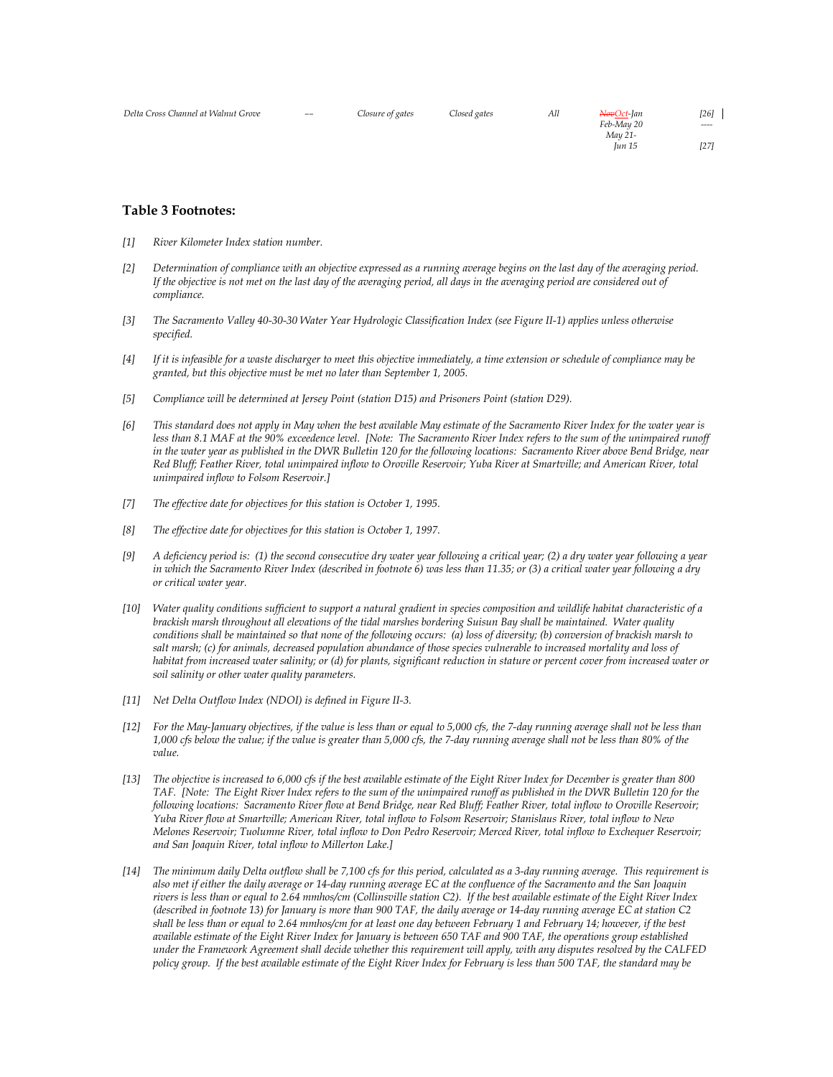| Delta Cross Channel at Walnut Grove | $--$ | Closure of gates | Closed gates | All | <del>Nov</del> Oct-Jan<br>Feb-May 20 | [26]<br>$\cdots$ |
|-------------------------------------|------|------------------|--------------|-----|--------------------------------------|------------------|
|                                     |      |                  |              |     | May 21-<br>Iun 15                    | $[27]$           |

#### **Table 3 Footnotes:**

- *[1] River Kilometer Index station number.*
- *[2] Determination of compliance with an objective expressed as a running average begins on the last day of the averaging period. If the objective is not met on the last day of the averaging period, all days in the averaging period are considered out of compliance.*
- *[3] The Sacramento Valley 40-30-30 Water Year Hydrologic Classification Index (see Figure II-1) applies unless otherwise specified.*
- *[4] If it is infeasible for a waste discharger to meet this objective immediately, a time extension or schedule of compliance may be granted, but this objective must be met no later than September 1, 2005.*
- *[5] Compliance will be determined at Jersey Point (station D15) and Prisoners Point (station D29).*
- *[6] This standard does not apply in May when the best available May estimate of the Sacramento River Index for the water year is*  less than 8.1 MAF at the 90% exceedence level. [Note: The Sacramento River Index refers to the sum of the unimpaired runoff *in the water year as published in the DWR Bulletin 120 for the following locations: Sacramento River above Bend Bridge, near Red Bluff; Feather River, total unimpaired inflow to Oroville Reservoir; Yuba River at Smartville; and American River, total unimpaired inflow to Folsom Reservoir.]*
- *[7] The effective date for objectives for this station is October 1, 1995.*
- *[8] The effective date for objectives for this station is October 1, 1997.*
- *[9] A deficiency period is: (1) the second consecutive dry water year following a critical year; (2) a dry water year following a year in which the Sacramento River Index (described in footnote 6) was less than 11.35; or (3) a critical water year following a dry or critical water year.*
- *[10] Water quality conditions sufficient to support a natural gradient in species composition and wildlife habitat characteristic of a brackish marsh throughout all elevations of the tidal marshes bordering Suisun Bay shall be maintained. Water quality conditions shall be maintained so that none of the following occurs: (a) loss of diversity; (b) conversion of brackish marsh to salt marsh; (c) for animals, decreased population abundance of those species vulnerable to increased mortality and loss of habitat from increased water salinity; or (d) for plants, significant reduction in stature or percent cover from increased water or soil salinity or other water quality parameters.*
- *[11] Net Delta Outflow Index (NDOI) is defined in Figure II-3.*
- *[12] For the May-January objectives, if the value is less than or equal to 5,000 cfs, the 7-day running average shall not be less than 1,000 cfs below the value; if the value is greater than 5,000 cfs, the 7-day running average shall not be less than 80% of the value.*
- *[13] The objective is increased to 6,000 cfs if the best available estimate of the Eight River Index for December is greater than 800 TAF. [Note: The Eight River Index refers to the sum of the unimpaired runoff as published in the DWR Bulletin 120 for the following locations: Sacramento River flow at Bend Bridge, near Red Bluff; Feather River, total inflow to Oroville Reservoir; Yuba River flow at Smartville; American River, total inflow to Folsom Reservoir; Stanislaus River, total inflow to New Melones Reservoir; Tuolumne River, total inflow to Don Pedro Reservoir; Merced River, total inflow to Exchequer Reservoir; and San Joaquin River, total inflow to Millerton Lake.]*
- *[14] The minimum daily Delta outflow shall be 7,100 cfs for this period, calculated as a 3-day running average. This requirement is also met if either the daily average or 14-day running average EC at the confluence of the Sacramento and the San Joaquin rivers is less than or equal to 2.64 mmhos/cm (Collinsville station C2). If the best available estimate of the Eight River Index (described in footnote 13) for January is more than 900 TAF, the daily average or 14-day running average EC at station C2 shall be less than or equal to 2.64 mmhos/cm for at least one day between February 1 and February 14; however, if the best available estimate of the Eight River Index for January is between 650 TAF and 900 TAF, the operations group established under the Framework Agreement shall decide whether this requirement will apply, with any disputes resolved by the CALFED policy group. If the best available estimate of the Eight River Index for February is less than 500 TAF, the standard may be*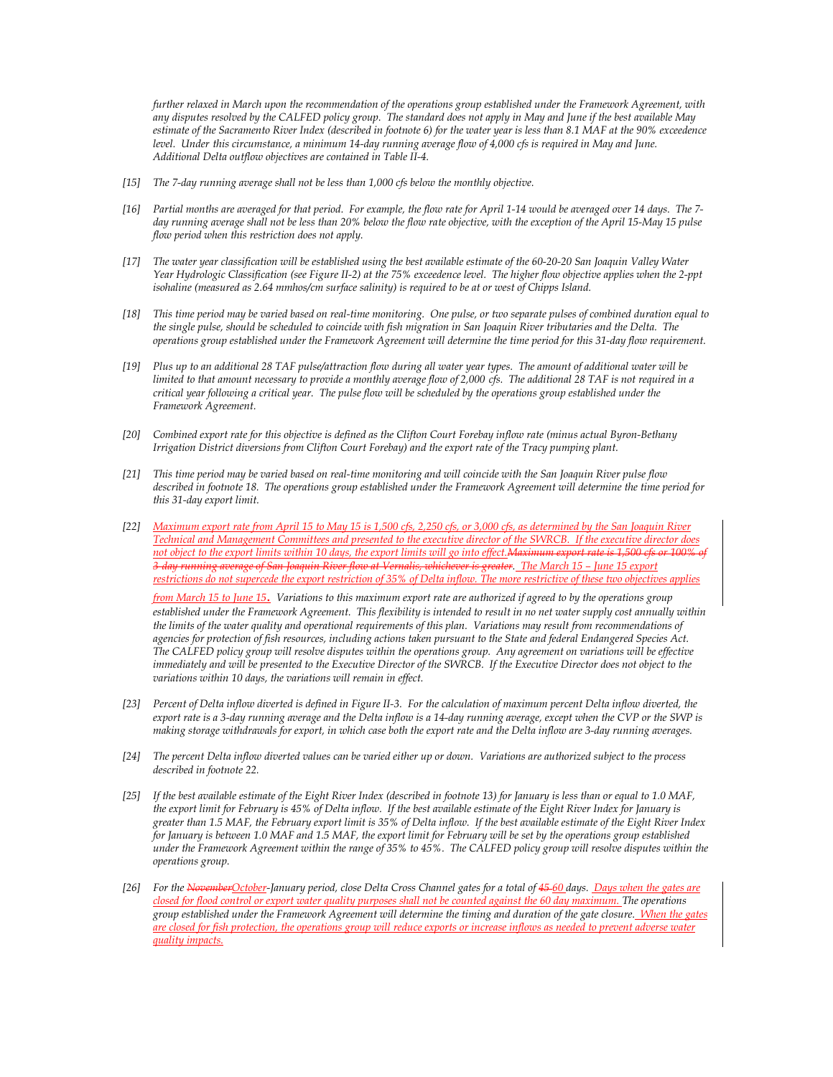*further relaxed in March upon the recommendation of the operations group established under the Framework Agreement, with any disputes resolved by the CALFED policy group. The standard does not apply in May and June if the best available May estimate of the Sacramento River Index (described in footnote 6) for the water year is less than 8.1 MAF at the 90% exceedence level. Under this circumstance, a minimum 14-day running average flow of 4,000 cfs is required in May and June. Additional Delta outflow objectives are contained in Table II-4.* 

- *[15] The 7-day running average shall not be less than 1,000 cfs below the monthly objective.*
- *[16] Partial months are averaged for that period. For example, the flow rate for April 1-14 would be averaged over 14 days. The 7 day running average shall not be less than 20% below the flow rate objective, with the exception of the April 15-May 15 pulse flow period when this restriction does not apply.*
- *[17] The water year classification will be established using the best available estimate of the 60-20-20 San Joaquin Valley Water Year Hydrologic Classification (see Figure II-2) at the 75% exceedence level. The higher flow objective applies when the 2-ppt isohaline (measured as 2.64 mmhos/cm surface salinity) is required to be at or west of Chipps Island.*
- *[18] This time period may be varied based on real-time monitoring. One pulse, or two separate pulses of combined duration equal to the single pulse, should be scheduled to coincide with fish migration in San Joaquin River tributaries and the Delta. The operations group established under the Framework Agreement will determine the time period for this 31-day flow requirement.*
- *[19] Plus up to an additional 28 TAF pulse/attraction flow during all water year types. The amount of additional water will be limited to that amount necessary to provide a monthly average flow of 2,000 cfs. The additional 28 TAF is not required in a critical year following a critical year. The pulse flow will be scheduled by the operations group established under the Framework Agreement.*
- *[20] Combined export rate for this objective is defined as the Clifton Court Forebay inflow rate (minus actual Byron-Bethany Irrigation District diversions from Clifton Court Forebay) and the export rate of the Tracy pumping plant.*
- *[21] This time period may be varied based on real-time monitoring and will coincide with the San Joaquin River pulse flow described in footnote 18. The operations group established under the Framework Agreement will determine the time period for this 31-day export limit.*
- *[22] Maximum export rate from April 15 to May 15 is 1,500 cfs, 2,250 cfs, or 3,000 cfs, as determined by the San Joaquin River Technical and Management Committees and presented to the executive director of the SWRCB. If the executive director does*  not object to the export limits within 10 days, the export limits will go into effect. Maximum export rate is 1,500 cfs or 100% *3-day running average of San Joaquin River flow at Vernalis, whichever is greater. The March 15 – June 15 export restrictions do not supercede the export restriction of 35% of Delta inflow. The more restrictive of these two objectives applies*

*from March 15 to June 15*. *Variations to this maximum export rate are authorized if agreed to by the operations group established under the Framework Agreement. This flexibility is intended to result in no net water supply cost annually within the limits of the water quality and operational requirements of this plan. Variations may result from recommendations of agencies for protection of fish resources, including actions taken pursuant to the State and federal Endangered Species Act. The CALFED policy group will resolve disputes within the operations group. Any agreement on variations will be effective immediately and will be presented to the Executive Director of the SWRCB. If the Executive Director does not object to the variations within 10 days, the variations will remain in effect.* 

- *[23] Percent of Delta inflow diverted is defined in Figure II-3. For the calculation of maximum percent Delta inflow diverted, the export rate is a 3-day running average and the Delta inflow is a 14-day running average, except when the CVP or the SWP is making storage withdrawals for export, in which case both the export rate and the Delta inflow are 3-day running averages.*
- *[24] The percent Delta inflow diverted values can be varied either up or down. Variations are authorized subject to the process described in footnote 22.*
- *[25] If the best available estimate of the Eight River Index (described in footnote 13) for January is less than or equal to 1.0 MAF, the export limit for February is 45% of Delta inflow. If the best available estimate of the Eight River Index for January is greater than 1.5 MAF, the February export limit is 35% of Delta inflow. If the best available estimate of the Eight River Index for January is between 1.0 MAF and 1.5 MAF, the export limit for February will be set by the operations group established under the Framework Agreement within the range of 35% to 45%. The CALFED policy group will resolve disputes within the operations group.*
- *[26] For the NovemberOctober-January period, close Delta Cross Channel gates for a total of 45 60 days. Days when the gates are closed for flood control or export water quality purposes shall not be counted against the 60 day maximum. The operations group established under the Framework Agreement will determine the timing and duration of the gate closure. When the gates are closed for fish protection, the operations group will reduce exports or increase inflows as needed to prevent adverse water quality impacts.*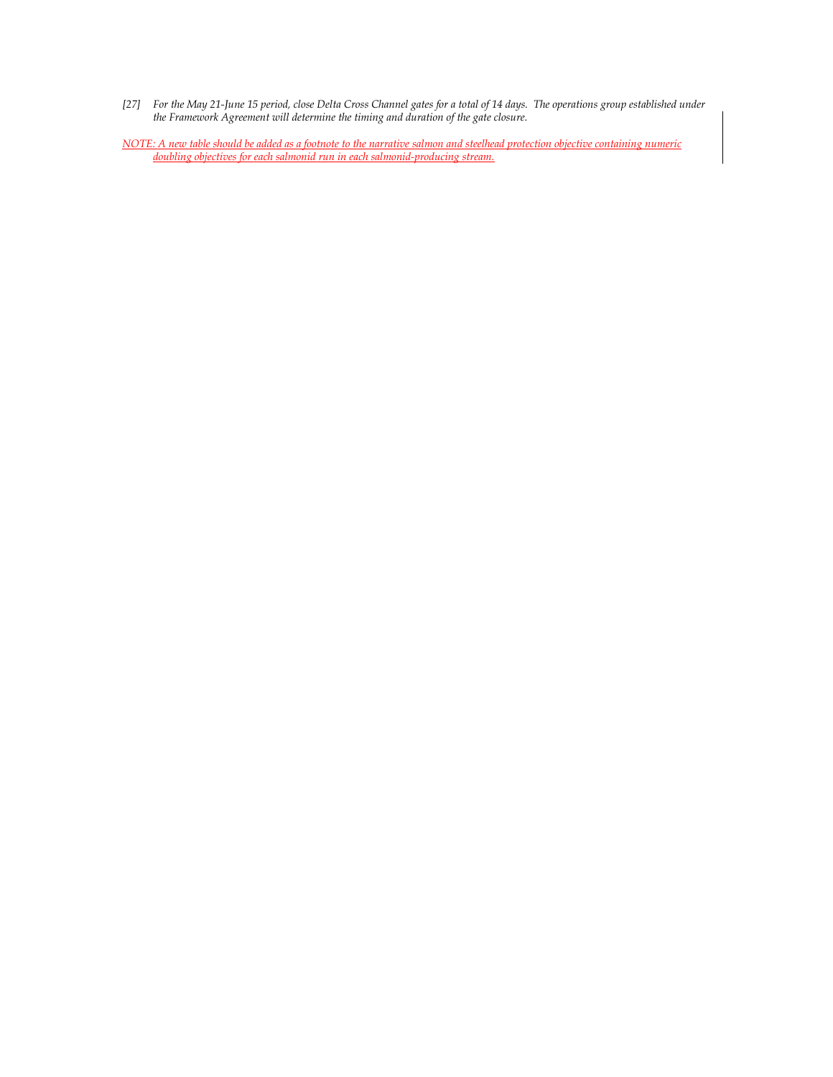- *[27] For the May 21-June 15 period, close Delta Cross Channel gates for a total of 14 days. The operations group established under the Framework Agreement will determine the timing and duration of the gate closure.*
- *NOTE: A new table should be added as a footnote to the narrative salmon and steelhead protection objective containing numeric doubling objectives for each salmonid run in each salmonid-producing stream.*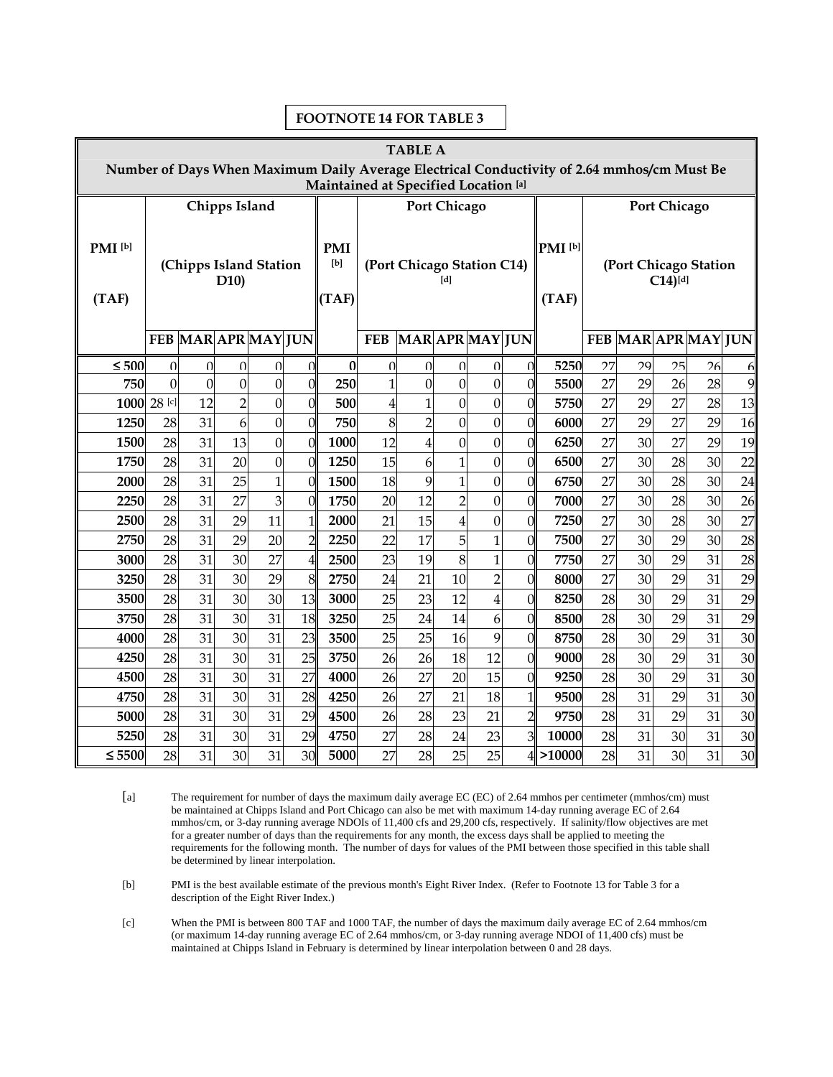| <b>TABLE A</b>                                                                             |                               |                    |                |                |                                          |              |             |                 |                     |                                               |                     |              |                     |                     |          |          |          |
|--------------------------------------------------------------------------------------------|-------------------------------|--------------------|----------------|----------------|------------------------------------------|--------------|-------------|-----------------|---------------------|-----------------------------------------------|---------------------|--------------|---------------------|---------------------|----------|----------|----------|
| Number of Days When Maximum Daily Average Electrical Conductivity of 2.64 mmhos/cm Must Be |                               |                    |                |                |                                          |              |             |                 |                     |                                               |                     |              |                     |                     |          |          |          |
| Maintained at Specified Location [a]                                                       |                               |                    |                |                |                                          |              |             |                 |                     |                                               |                     |              |                     |                     |          |          |          |
|                                                                                            | <b>Chipps Island</b>          |                    |                |                |                                          |              |             |                 | <b>Port Chicago</b> |                                               |                     |              | <b>Port Chicago</b> |                     |          |          |          |
|                                                                                            |                               |                    |                |                |                                          |              |             |                 |                     |                                               |                     |              |                     |                     |          |          |          |
| PMI <sup>[b]</sup>                                                                         |                               |                    |                |                | <b>PMI</b>                               |              |             |                 |                     | PMI <sup>[b]</sup>                            |                     |              |                     |                     |          |          |          |
|                                                                                            | (Chipps Island Station<br>D10 |                    |                |                | [b]<br>(Port Chicago Station C14)<br>[d] |              |             |                 |                     | (Port Chicago Station<br>$C14$ <sup>[d]</sup> |                     |              |                     |                     |          |          |          |
| (TAF)                                                                                      |                               |                    |                |                |                                          |              |             |                 | (TAF)               |                                               | (TAF)               |              |                     |                     |          |          |          |
|                                                                                            |                               |                    |                |                |                                          |              |             |                 |                     |                                               |                     |              |                     |                     |          |          |          |
|                                                                                            |                               | FEB MARAPR MAY JUN |                |                |                                          |              | <b>FEB</b>  | MAR APR MAY JUN |                     |                                               |                     |              |                     | FEB MAR APR MAY JUN |          |          |          |
| < 500                                                                                      | $\Omega$                      | $\Omega$           | $\Omega$       | $\Omega$       | $\Omega$                                 | $\Omega$     | $\Omega$    | $\Omega$        | $\Omega$            | $\Omega$                                      | $\Omega$            | 5250         | 27                  | 29                  | 25       | 26       | 6        |
| 750                                                                                        | $\Omega$                      | $\mathbf{0}$       | $\overline{0}$ | $\overline{0}$ | $\overline{0}$                           | 250          | $\mathbf 1$ | $\mathbf{0}$    | $\mathbf{0}$        | $\mathbf{0}$                                  | $\theta$            | 5500         | 27                  | 29                  | 26       | 28       | 9        |
|                                                                                            | 1000 28 [c]                   | 12                 | $\overline{2}$ | $\overline{0}$ | $\overline{0}$                           | 500          | 4           | $\overline{1}$  | $\mathbf{0}$        | $\overline{0}$                                | $\overline{0}$      | 5750         | 27                  | 29                  | 27       | 28       | 13       |
| 1250                                                                                       | 28                            | 31                 | 6              | $\mathbf{0}$   | $\overline{0}$                           | 750          | 8           | $\overline{2}$  | $\mathbf{0}$        | $\overline{0}$                                | $\overline{0}$      | 6000         | 27                  | 29                  | 27       | 29       | 16       |
| 1500                                                                                       | 28                            | 31                 | 13             | $\overline{0}$ | $\overline{0}$                           | 1000         | 12          | $\overline{4}$  | $\mathbf{0}$        | $\mathbf{0}$                                  | $\overline{0}$      | 6250         | 27                  | 30                  | 27       | 29       | 19       |
| 1750                                                                                       | 28                            | 31                 | 20             | $\mathbf{0}$   | $\overline{0}$                           | 1250         | 15          | 6               | $\mathbf{1}$        | $\overline{0}$                                | $\mathbf{0}$        | 6500         | 27                  | 30                  | 28       | 30       | 22       |
| 2000                                                                                       | 28                            | 31                 | 25             | $\overline{1}$ | $\overline{0}$                           | 1500         | 18          | 9               | $\mathbf{1}$        | $\overline{0}$                                | $\overline{0}$      | 6750         | 27                  | 30                  | 28       | 30       | 24       |
| 2250                                                                                       | 28                            | 31                 | 27             | 3              | $\overline{0}$                           | 1750         | 20          | 12              | $\overline{2}$      | $\overline{0}$                                | $\overline{0}$      | 7000         | 27                  | 30                  | 28       | 30       | 26       |
| 2500                                                                                       | 28                            | 31                 | 29             | 11             | $\mathbf{1}$                             | 2000         | 21          | 15              | $\overline{4}$      | $\overline{0}$                                | $\overline{0}$      | 7250         | 27                  | 30                  | 28       | 30       | 27       |
| 2750                                                                                       | 28                            | 31                 | 29             | 20             | $\overline{2}$                           | 2250         | 22          | 17              | 5                   | $\overline{1}$                                | $\overline{0}$      | 7500         | 27                  | 30                  | 29       | 30       | 28       |
| 3000                                                                                       | 28                            | 31                 | 30             | 27             | 4                                        | 2500         | 23          | 19              | 8                   | $\overline{1}$                                | $\theta$            | 7750         | 27                  | 30                  | 29       | 31       | 28       |
| 3250                                                                                       | 28                            | 31                 | 30             | 29             | 8                                        | 2750         | 24          | 21              | 10                  | $\overline{2}$                                | $\overline{0}$      | 8000         | 27                  | 30                  | 29       | 31       | 29       |
| 3500                                                                                       | 28                            | 31                 | 30             | 30             | 13                                       | 3000         | 25          | 23              | 12                  | $\overline{4}$                                | $\overline{0}$      | 8250         | 28                  | 30                  | 29       | 31       | 29       |
| 3750                                                                                       | 28                            | 31                 | 30             | 31             | 18                                       | 3250         | 25          | 24              | 14                  | $\overline{6}$                                | $\overline{0}$      | 8500         | 28                  | 30                  | 29       | 31       | 29       |
| 4000                                                                                       | 28                            | 31                 | 30             | 31             | 23                                       | 3500         | 25          | 25              | 16                  | 9                                             | $\boldsymbol{0}$    | 8750         | 28                  | 30                  | 29       | 31       | 30       |
| 4250                                                                                       | 28                            | 31                 | 30             | 31             | 25                                       | 3750         | 26          | 26              | 18                  | 12                                            | $\overline{0}$      | 9000         | 28                  | 30                  | 29       | 31       | 30       |
| 4500<br>4750                                                                               | 28<br>28                      | 31<br>31           | 30<br>30       | 31<br>31       | 27<br>28                                 | 4000<br>4250 | 26<br>26    | 27<br>27        | 20<br>21            | 15<br>18                                      | $\overline{0}$      | 9250         | 28<br>28            | 30<br>31            | 29<br>29 | 31<br>31 | 30<br>30 |
| 5000                                                                                       | 28                            | 31                 | 30             | 31             | 29                                       | 4500         | 26          | 28              | 23                  | 21                                            | 1<br>$\overline{2}$ | 9500<br>9750 | 28                  | 31                  | 29       | 31       | 30       |
| 5250                                                                                       | 28                            | 31                 | 30             | 31             | 29                                       | 4750         | 27          | 28              | 24                  | 23                                            | 3                   | 10000        | 28                  | 31                  | 30       | 31       | 30       |
| $\leq 5500$                                                                                | 28                            | 31                 | 30             | 31             | 30                                       | 5000         | 27          | 28              | 25                  | 25                                            |                     | $4$ > 10000  | 28                  | 31                  | 30       | 31       | 30       |
|                                                                                            |                               |                    |                |                |                                          |              |             |                 |                     |                                               |                     |              |                     |                     |          |          |          |

### **FOOTNOTE 14 FOR TABLE 3**

[a] The requirement for number of days the maximum daily average EC (EC) of 2.64 mmhos per centimeter (mmhos/cm) must be maintained at Chipps Island and Port Chicago can also be met with maximum 14-day running average EC of 2.64 mmhos/cm, or 3-day running average NDOIs of 11,400 cfs and 29,200 cfs, respectively. If salinity/flow objectives are met for a greater number of days than the requirements for any month, the excess days shall be applied to meeting the requirements for the following month. The number of days for values of the PMI between those specified in this table shall be determined by linear interpolation.

[b] PMI is the best available estimate of the previous month's Eight River Index. (Refer to Footnote 13 for Table 3 for a description of the Eight River Index.)

[c] When the PMI is between 800 TAF and 1000 TAF, the number of days the maximum daily average EC of 2.64 mmhos/cm (or maximum 14-day running average EC of 2.64 mmhos/cm, or 3-day running average NDOI of 11,400 cfs) must be maintained at Chipps Island in February is determined by linear interpolation between 0 and 28 days.